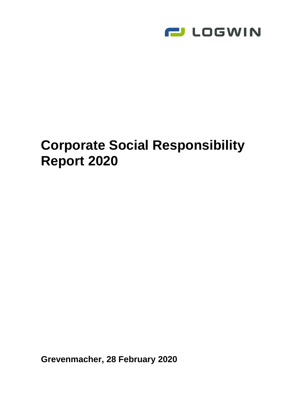

# **Corporate Social Responsibility Report 2020**

**Grevenmacher, 28 February 2020**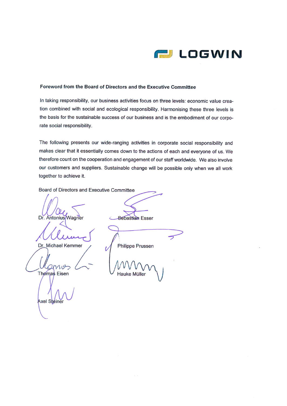

#### Foreword from the Board of Directors and the Executive Committee

In taking responsibility, our business activities focus on three levels: economic value creation combined with social and ecological responsibility. Harmonising these three levels is the basis for the sustainable success of our business and is the embodiment of our corporate social responsibility.

The following presents our wide-ranging activities in corporate social responsibility and makes clear that it essentially comes down to the actions of each and everyone of us. We therefore count on the cooperation and engagement of our staff worldwide. We also involve our customers and suppliers. Sustainable change will be possible only when we all work together to achieve it.

Board of Directors and Executive Committee

 $\iota$ 

Dr. Antonius Wagner

Dr. Michael Kemmer

mig **Thomas** Eisen

Axel Steiner

**Sebastian Esser** 

Philippe Prussen

Hauke Müller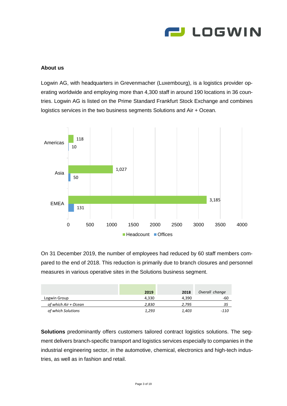

### **About us**

Logwin AG, with headquarters in Grevenmacher (Luxembourg), is a logistics provider operating worldwide and employing more than 4,300 staff in around 190 locations in 36 countries. Logwin AG is listed on the [Prime Standard](https://de.wikipedia.org/wiki/Prime_Standard) Frankfurt Stock Exchange and combines logistics services in the two business segments Solutions and Air + Ocean.



On 31 December 2019, the number of employees had reduced by 60 staff members compared to the end of 2018. This reduction is primarily due to branch closures and personnel measures in various operative sites in the Solutions business segment.

|                      | 2019  | 2018  | Overall change |
|----------------------|-------|-------|----------------|
| Logwin Group         | 4.330 | 4.390 | -60            |
| of which Air + Ocean | 2.830 | 2.795 | 35             |
| of which Solutions   | 1.293 | 1,403 | -110           |

**Solutions** predominantly offers customers tailored contract logistics solutions. The segment delivers branch-specific transport and logistics services especially to companies in the industrial engineering sector, in the automotive, chemical, electronics and high-tech industries, as well as in fashion and retail.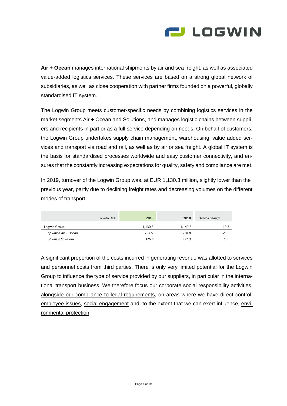

**Air + Ocean** manages international shipments by air and sea freight, as well as associated value-added logistics services. These services are based on a strong global network of subsidiaries, as well as close cooperation with partner firms founded on a powerful, globally standardised IT system.

The Logwin Group meets customer-specific needs by combining logistics services in the market segments Air + Ocean and Solutions, and manages logistic chains between suppliers and recipients in part or as a full service depending on needs. On behalf of customers, the Logwin Group undertakes supply chain management, warehousing, value added services and transport via road and rail, as well as by air or sea freight. A global IT system is the basis for standardised processes worldwide and easy customer connectivity, and ensures that the constantly increasing expectations for quality, safety and compliance are met.

In 2019, turnover of the Logwin Group was, at EUR 1,130.3 million, slightly lower than the previous year, partly due to declining freight rates and decreasing volumes on the different modes of transport.

|                      | in million EUR | 2019    | 2018    | Overall change |
|----------------------|----------------|---------|---------|----------------|
| Logwin Group         |                | 1,130.3 | 1.149.6 | $-19.3$        |
| of which Air + Ocean |                | 753.5   | 778.8   | $-25.3$        |
| of which Solutions   |                | 376.8   | 371.3   | 5.5            |

A significant proportion of the costs incurred in generating revenue was allotted to services and personnel costs from third parties. There is only very limited potential for the Logwin Group to influence the type of service provided by our suppliers, in particular in the international transport business. We therefore focus our corporate social responsibility activities, alongside our compliance to legal requirements, on areas where we have direct control: employee issues, social engagement and, to the extent that we can exert influence, environmental protection.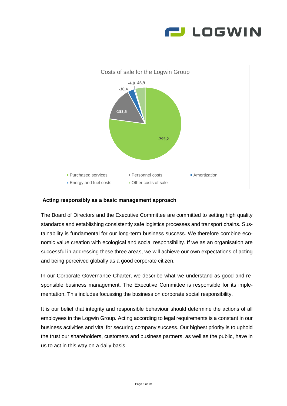



#### **Acting responsibly as a basic management approach**

The Board of Directors and the Executive Committee are committed to setting high quality standards and establishing consistently safe logistics processes and transport chains. Sustainability is fundamental for our long-term business success. We therefore combine economic value creation with ecological and social responsibility. If we as an organisation are successful in addressing these three areas, we will achieve our own expectations of acting and being perceived globally as a good corporate citizen.

In our Corporate Governance Charter, we describe what we understand as good and responsible business management. The Executive Committee is responsible for its implementation. This includes focussing the business on corporate social responsibility.

It is our belief that integrity and responsible behaviour should determine the actions of all employees in the Logwin Group. Acting according to legal requirements is a constant in our business activities and vital for securing company success. Our highest priority is to uphold the trust our shareholders, customers and business partners, as well as the public, have in us to act in this way on a daily basis.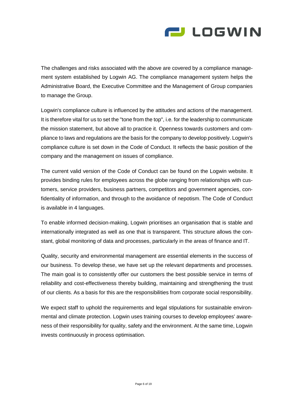

The challenges and risks associated with the above are covered by a compliance management system established by Logwin AG. The compliance management system helps the Administrative Board, the Executive Committee and the Management of Group companies to manage the Group.

Logwin's compliance culture is influenced by the attitudes and actions of the management. It is therefore vital for us to set the "tone from the top", i.e. for the leadership to communicate the mission statement, but above all to practice it. Openness towards customers and compliance to laws and regulations are the basis for the company to develop positively. Logwin's compliance culture is set down in the Code of Conduct. It reflects the basic position of the company and the management on issues of compliance.

The current valid version of the Code of Conduct can be found on the Logwin website. It provides binding rules for employees across the globe ranging from relationships with customers, service providers, business partners, competitors and government agencies, confidentiality of information, and through to the avoidance of nepotism. The Code of Conduct is available in 4 languages.

To enable informed decision-making, Logwin prioritises an organisation that is stable and internationally integrated as well as one that is transparent. This structure allows the constant, global monitoring of data and processes, particularly in the areas of finance and IT.

Quality, security and environmental management are essential elements in the success of our business. To develop these, we have set up the relevant departments and processes. The main goal is to consistently offer our customers the best possible service in terms of reliability and cost-effectiveness thereby building, maintaining and strengthening the trust of our clients. As a basis for this are the responsibilities from corporate social responsibility.

We expect staff to uphold the requirements and legal stipulations for sustainable environmental and climate protection. Logwin uses training courses to develop employees' awareness of their responsibility for quality, safety and the environment. At the same time, Logwin invests continuously in process optimisation.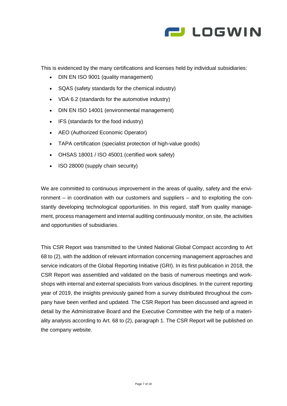

This is evidenced by the many certifications and licenses held by individual subsidiaries:

- DIN EN ISO 9001 (quality management)
- SQAS (safety standards for the chemical industry)
- VDA 6.2 (standards for the automotive industry)
- DIN EN ISO 14001 (environmental management)
- IFS (standards for the food industry)
- AEO (Authorized Economic Operator)
- TAPA certification (specialist protection of high-value goods)
- OHSAS 18001 / ISO 45001 (certified work safety)
- ISO 28000 (supply chain security)

We are committed to continuous improvement in the areas of quality, safety and the environment – in coordination with our customers and suppliers – and to exploiting the constantly developing technological opportunities. In this regard, staff from quality management, process management and internal auditing continuously monitor, on site, the activities and opportunities of subsidiaries.

This CSR Report was transmitted to the United National Global Compact according to Art 68 to (2), with the addition of relevant information concerning management approaches and service indicators of the Global Reporting Initiative (GRI). In its first publication in 2018, the CSR Report was assembled and validated on the basis of numerous meetings and workshops with internal and external specialists from various disciplines. In the current reporting year of 2019, the insights previously gained from a survey distributed throughout the company have been verified and updated. The CSR Report has been discussed and agreed in detail by the Administrative Board and the Executive Committee with the help of a materiality analysis according to Art. 68 to (2), paragraph 1. The CSR Report will be published on the company website.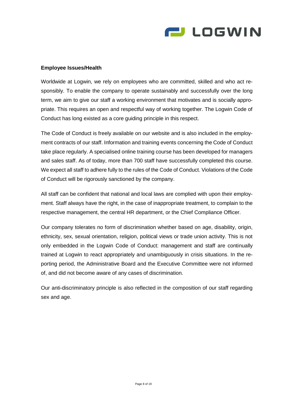

#### **Employee Issues/Health**

Worldwide at Logwin, we rely on employees who are committed, skilled and who act responsibly. To enable the company to operate sustainably and successfully over the long term, we aim to give our staff a working environment that motivates and is socially appropriate. This requires an open and respectful way of working together. The Logwin Code of Conduct has long existed as a core guiding principle in this respect.

The Code of Conduct is freely available on our website and is also included in the employment contracts of our staff. Information and training events concerning the Code of Conduct take place regularly. A specialised online training course has been developed for managers and sales staff. As of today, more than 700 staff have successfully completed this course. We expect all staff to adhere fully to the rules of the Code of Conduct. Violations of the Code of Conduct will be rigorously sanctioned by the company.

All staff can be confident that national and local laws are complied with upon their employment. Staff always have the right, in the case of inappropriate treatment, to complain to the respective management, the central HR department, or the Chief Compliance Officer.

Our company tolerates no form of discrimination whether based on age, disability, origin, ethnicity, sex, sexual orientation, religion, political views or trade union activity. This is not only embedded in the Logwin Code of Conduct: management and staff are continually trained at Logwin to react appropriately and unambiguously in crisis situations. In the reporting period, the Administrative Board and the Executive Committee were not informed of, and did not become aware of any cases of discrimination.

Our anti-discriminatory principle is also reflected in the composition of our staff regarding sex and age.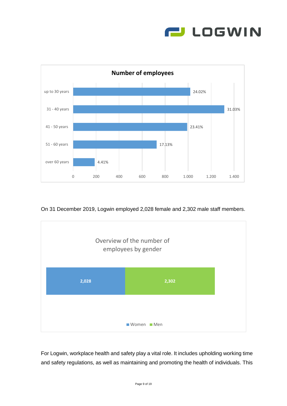



On 31 December 2019, Logwin employed 2,028 female and 2,302 male staff members.



For Logwin, workplace health and safety play a vital role. It includes upholding working time and safety regulations, as well as maintaining and promoting the health of individuals. This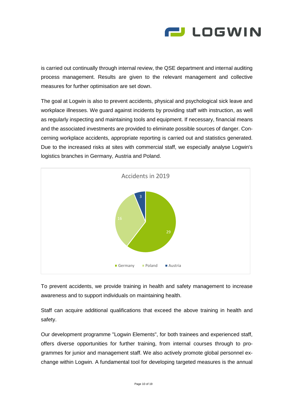

is carried out continually through internal review, the QSE department and internal auditing process management. Results are given to the relevant management and collective measures for further optimisation are set down.

The goal at Logwin is also to prevent accidents, physical and psychological sick leave and workplace illnesses. We guard against incidents by providing staff with instruction, as well as regularly inspecting and maintaining tools and equipment. If necessary, financial means and the associated investments are provided to eliminate possible sources of danger. Concerning workplace accidents, appropriate reporting is carried out and statistics generated. Due to the increased risks at sites with commercial staff, we especially analyse Logwin's logistics branches in Germany, Austria and Poland.



To prevent accidents, we provide training in health and safety management to increase awareness and to support individuals on maintaining health.

Staff can acquire additional qualifications that exceed the above training in health and safety.

Our development programme "Logwin Elements", for both trainees and experienced staff, offers diverse opportunities for further training, from internal courses through to programmes for junior and management staff. We also actively promote global personnel exchange within Logwin. A fundamental tool for developing targeted measures is the annual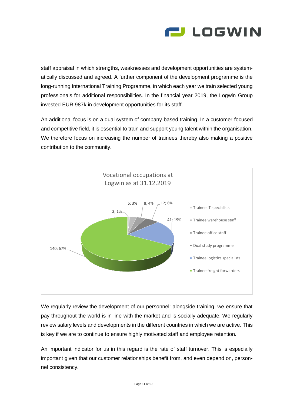

staff appraisal in which strengths, weaknesses and development opportunities are systematically discussed and agreed. A further component of the development programme is the long-running International Training Programme, in which each year we train selected young professionals for additional responsibilities. In the financial year 2019, the Logwin Group invested EUR 987k in development opportunities for its staff.

An additional focus is on a dual system of company-based training. In a customer-focused and competitive field, it is essential to train and support young talent within the organisation. We therefore focus on increasing the number of trainees thereby also making a positive contribution to the community.



We regularly review the development of our personnel: alongside training, we ensure that pay throughout the world is in line with the market and is socially adequate. We regularly review salary levels and developments in the different countries in which we are active. This is key if we are to continue to ensure highly motivated staff and employee retention.

An important indicator for us in this regard is the rate of staff turnover. This is especially important given that our customer relationships benefit from, and even depend on, personnel consistency.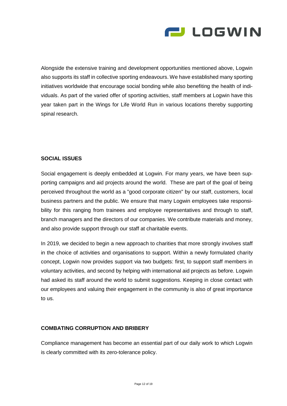

Alongside the extensive training and development opportunities mentioned above, Logwin also supports its staff in collective sporting endeavours. We have established many sporting initiatives worldwide that encourage social bonding while also benefiting the health of individuals. As part of the varied offer of sporting activities, staff members at Logwin have this year taken part in the Wings for Life World Run in various locations thereby supporting spinal research.

# **SOCIAL ISSUES**

Social engagement is deeply embedded at Logwin. For many years, we have been supporting campaigns and aid projects around the world. These are part of the goal of being perceived throughout the world as a "good corporate citizen" by our staff, customers, local business partners and the public. We ensure that many Logwin employees take responsibility for this ranging from trainees and employee representatives and through to staff, branch managers and the directors of our companies. We contribute materials and money, and also provide support through our staff at charitable events.

In 2019, we decided to begin a new approach to charities that more strongly involves staff in the choice of activities and organisations to support. Within a newly formulated charity concept, Logwin now provides support via two budgets: first, to support staff members in voluntary activities, and second by helping with international aid projects as before. Logwin had asked its staff around the world to submit suggestions. Keeping in close contact with our employees and valuing their engagement in the community is also of great importance to us.

#### **COMBATING CORRUPTION AND BRIBERY**

Compliance management has become an essential part of our daily work to which Logwin is clearly committed with its zero-tolerance policy.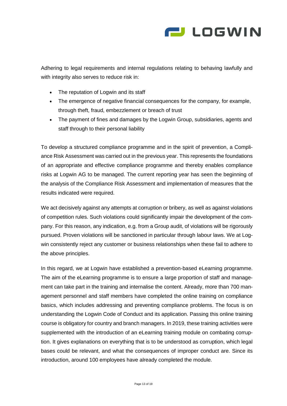

Adhering to legal requirements and internal regulations relating to behaving lawfully and with integrity also serves to reduce risk in:

- The reputation of Logwin and its staff
- The emergence of negative financial consequences for the company, for example, through theft, fraud, embezzlement or breach of trust
- The payment of fines and damages by the Logwin Group, subsidiaries, agents and staff through to their personal liability

To develop a structured compliance programme and in the spirit of prevention, a Compliance Risk Assessment was carried out in the previous year. This represents the foundations of an appropriate and effective compliance programme and thereby enables compliance risks at Logwin AG to be managed. The current reporting year has seen the beginning of the analysis of the Compliance Risk Assessment and implementation of measures that the results indicated were required.

We act decisively against any attempts at corruption or bribery, as well as against violations of competition rules. Such violations could significantly impair the development of the company. For this reason, any indication, e.g. from a Group audit, of violations will be rigorously pursued. Proven violations will be sanctioned in particular through labour laws. We at Logwin consistently reject any customer or business relationships when these fail to adhere to the above principles.

In this regard, we at Logwin have established a prevention-based eLearning programme. The aim of the eLearning programme is to ensure a large proportion of staff and management can take part in the training and internalise the content. Already, more than 700 management personnel and staff members have completed the online training on compliance basics, which includes addressing and preventing compliance problems. The focus is on understanding the Logwin Code of Conduct and its application. Passing this online training course is obligatory for country and branch managers. In 2019, these training activities were supplemented with the introduction of an eLearning training module on combating corruption. It gives explanations on everything that is to be understood as corruption, which legal bases could be relevant, and what the consequences of improper conduct are. Since its introduction, around 100 employees have already completed the module.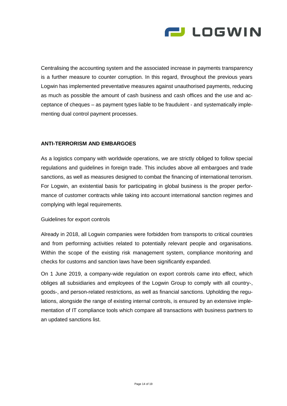

Centralising the accounting system and the associated increase in payments transparency is a further measure to counter corruption. In this regard, throughout the previous years Logwin has implemented preventative measures against unauthorised payments, reducing as much as possible the amount of cash business and cash offices and the use and acceptance of cheques – as payment types liable to be fraudulent - and systematically implementing dual control payment processes.

#### **ANTI-TERRORISM AND EMBARGOES**

As a logistics company with worldwide operations, we are strictly obliged to follow special regulations and guidelines in foreign trade. This includes above all embargoes and trade sanctions, as well as measures designed to combat the financing of international terrorism. For Logwin, an existential basis for participating in global business is the proper performance of customer contracts while taking into account international sanction regimes and complying with legal requirements.

#### Guidelines for export controls

Already in 2018, all Logwin companies were forbidden from transports to critical countries and from performing activities related to potentially relevant people and organisations. Within the scope of the existing risk management system, compliance monitoring and checks for customs and sanction laws have been significantly expanded.

On 1 June 2019, a company-wide regulation on export controls came into effect, which obliges all subsidiaries and employees of the Logwin Group to comply with all country-, goods-, and person-related restrictions, as well as financial sanctions. Upholding the regulations, alongside the range of existing internal controls, is ensured by an extensive implementation of IT compliance tools which compare all transactions with business partners to an updated sanctions list.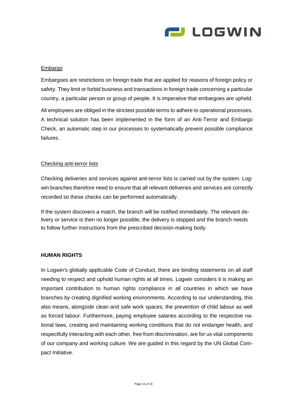

#### Embargo

Embargoes are restrictions on foreign trade that are applied for reasons of foreign policy or safety. They limit or forbid business and transactions in foreign trade concerning a particular country, a particular person or group of people. It is imperative that embargoes are upheld.

All employees are obliged in the strictest possible terms to adhere to operational processes. A technical solution has been implemented in the form of an Anti-Terror and Embargo Check, an automatic step in our processes to systematically prevent possible compliance failures.

#### Checking anti-terror lists

Checking deliveries and services against anti-terror lists is carried out by the system. Logwin branches therefore need to ensure that all relevant deliveries and services are correctly recorded so these checks can be performed automatically.

If the system discovers a match, the branch will be notified immediately. The relevant delivery or service is then no longer possible, the delivery is stopped and the branch needs to follow further instructions from the prescribed decision-making body.

#### **HUMAN RIGHTS**

In Logwin's globally applicable Code of Conduct, there are binding statements on all staff needing to respect and uphold human rights at all times. Logwin considers it is making an important contribution to human rights compliance in all countries in which we have branches by creating dignified working environments. According to our understanding, this also means, alongside clean and safe work spaces, the prevention of child labour as well as forced labour. Furthermore, paying employee salaries according to the respective national laws, creating and maintaining working conditions that do not endanger health, and respectfully interacting with each other, free from discrimination, are for us vital components of our company and working culture. We are guided in this regard by the UN Global Compact Initiative.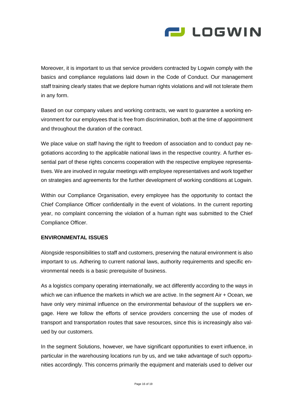

Moreover, it is important to us that service providers contracted by Logwin comply with the basics and compliance regulations laid down in the Code of Conduct. Our management staff training clearly states that we deplore human rights violations and will not tolerate them in any form.

Based on our company values and working contracts, we want to guarantee a working environment for our employees that is free from discrimination, both at the time of appointment and throughout the duration of the contract.

We place value on staff having the right to freedom of association and to conduct pay negotiations according to the applicable national laws in the respective country. A further essential part of these rights concerns cooperation with the respective employee representatives. We are involved in regular meetings with employee representatives and work together on strategies and agreements for the further development of working conditions at Logwin.

Within our Compliance Organisation, every employee has the opportunity to contact the Chief Compliance Officer confidentially in the event of violations. In the current reporting year, no complaint concerning the violation of a human right was submitted to the Chief Compliance Officer.

# **ENVIRONMENTAL ISSUES**

Alongside responsibilities to staff and customers, preserving the natural environment is also important to us. Adhering to current national laws, authority requirements and specific environmental needs is a basic prerequisite of business.

As a logistics company operating internationally, we act differently according to the ways in which we can influence the markets in which we are active. In the segment Air + Ocean, we have only very minimal influence on the environmental behaviour of the suppliers we engage. Here we follow the efforts of service providers concerning the use of modes of transport and transportation routes that save resources, since this is increasingly also valued by our customers.

In the segment Solutions, however, we have significant opportunities to exert influence, in particular in the warehousing locations run by us, and we take advantage of such opportunities accordingly. This concerns primarily the equipment and materials used to deliver our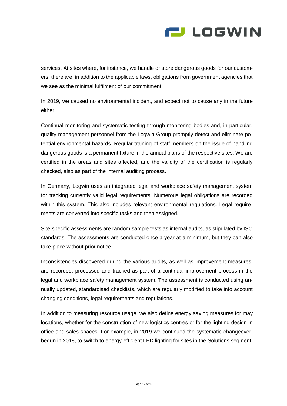

services. At sites where, for instance, we handle or store dangerous goods for our customers, there are, in addition to the applicable laws, obligations from government agencies that we see as the minimal fulfilment of our commitment.

In 2019, we caused no environmental incident, and expect not to cause any in the future either.

Continual monitoring and systematic testing through monitoring bodies and, in particular, quality management personnel from the Logwin Group promptly detect and eliminate potential environmental hazards. Regular training of staff members on the issue of handling dangerous goods is a permanent fixture in the annual plans of the respective sites. We are certified in the areas and sites affected, and the validity of the certification is regularly checked, also as part of the internal auditing process.

In Germany, Logwin uses an integrated legal and workplace safety management system for tracking currently valid legal requirements. Numerous legal obligations are recorded within this system. This also includes relevant environmental regulations. Legal requirements are converted into specific tasks and then assigned.

Site-specific assessments are random sample tests as internal audits, as stipulated by ISO standards. The assessments are conducted once a year at a minimum, but they can also take place without prior notice.

Inconsistencies discovered during the various audits, as well as improvement measures, are recorded, processed and tracked as part of a continual improvement process in the legal and workplace safety management system. The assessment is conducted using annually updated, standardised checklists, which are regularly modified to take into account changing conditions, legal requirements and regulations.

In addition to measuring resource usage, we also define energy saving measures for may locations, whether for the construction of new logistics centres or for the lighting design in office and sales spaces. For example, in 2019 we continued the systematic changeover, begun in 2018, to switch to energy-efficient LED lighting for sites in the Solutions segment.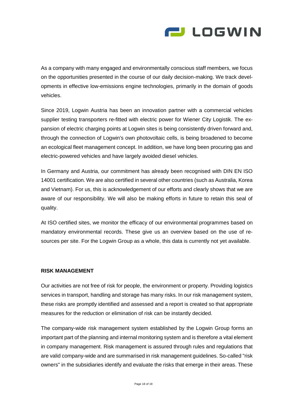

As a company with many engaged and environmentally conscious staff members, we focus on the opportunities presented in the course of our daily decision-making. We track developments in effective low-emissions engine technologies, primarily in the domain of goods vehicles.

Since 2019, Logwin Austria has been an innovation partner with a commercial vehicles supplier testing transporters re-fitted with electric power for Wiener City Logistik. The expansion of electric charging points at Logwin sites is being consistently driven forward and, through the connection of Logwin's own photovoltaic cells, is being broadened to become an ecological fleet management concept. In addition, we have long been procuring gas and electric-powered vehicles and have largely avoided diesel vehicles.

In Germany and Austria, our commitment has already been recognised with DIN EN ISO 14001 certification. We are also certified in several other countries (such as Australia, Korea and Vietnam). For us, this is acknowledgement of our efforts and clearly shows that we are aware of our responsibility. We will also be making efforts in future to retain this seal of quality.

At ISO certified sites, we monitor the efficacy of our environmental programmes based on mandatory environmental records. These give us an overview based on the use of resources per site. For the Logwin Group as a whole, this data is currently not yet available.

#### **RISK MANAGEMENT**

Our activities are not free of risk for people, the environment or property. Providing logistics services in transport, handling and storage has many risks. In our risk management system, these risks are promptly identified and assessed and a report is created so that appropriate measures for the reduction or elimination of risk can be instantly decided.

The company-wide risk management system established by the Logwin Group forms an important part of the planning and internal monitoring system and is therefore a vital element in company management. Risk management is assured through rules and regulations that are valid company-wide and are summarised in risk management guidelines. So-called "risk owners" in the subsidiaries identify and evaluate the risks that emerge in their areas. These